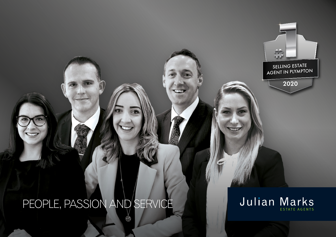## PEOPLE, PASSION AND SERVICE



SELLING ESTATE AGENT IN PLYMPTON

a de

2020